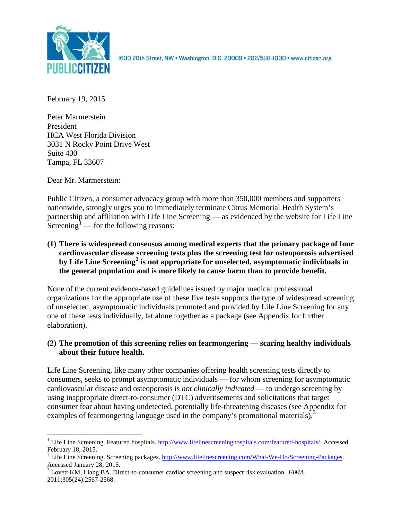

1600 20th Street, NW . Washington, D.C. 20009 . 202/588-1000 . www.citizen.org

February 19, 2015

Peter Marmerstein President HCA West Florida Division 3031 N Rocky Point Drive West Suite 400 Tampa, FL 33607

Dear Mr. Marmerstein:

Public Citizen, a consumer advocacy group with more than 350,000 members and supporters nationwide, strongly urges you to immediately terminate Citrus Memorial Health System's partnership and affiliation with Life Line Screening — as evidenced by the website for Life Line Screening<sup>[1](#page-0-0)</sup> — for the following reasons:

**(1) There is widespread consensus among medical experts that the primary package of four cardiovascular disease screening tests plus the screening test for osteoporosis advertised by Life Line Screening[2](#page-0-1) is not appropriate for unselected, asymptomatic individuals in the general population and is more likely to cause harm than to provide benefit.**

None of the current evidence-based guidelines issued by major medical professional organizations for the appropriate use of these five tests supports the type of widespread screening of unselected, asymptomatic individuals promoted and provided by Life Line Screening for any one of these tests individually, let alone together as a package (see Appendix for further elaboration).

# **(2) The promotion of this screening relies on fearmongering — scaring healthy individuals about their future health.**

Life Line Screening, like many other companies offering health screening tests directly to consumers, seeks to prompt asymptomatic individuals — for whom screening for asymptomatic cardiovascular disease and osteoporosis is *not clinically indicated* — to undergo screening by using inappropriate direct-to-consumer (DTC) advertisements and solicitations that target consumer fear about having undetected, potentially life-threatening diseases (see Appendix for examples of fearmongering language used in the company's promotional materials).<sup>[3](#page-0-2)</sup>

<span id="page-0-0"></span><sup>&</sup>lt;sup>1</sup> Life Line Screening. Featured hospitals.  $\frac{http://www.lifelinescreeninghospitals.com/featured-hospitals/}{$ . Accessed February 18, 2015.

<span id="page-0-1"></span><sup>&</sup>lt;sup>2</sup> Life Line Screening. Screening packages.  $\frac{http://www.lifelinescreening.com/What-We-Do/Screening-Packages. Accessed January 28, 2015.$ 

<span id="page-0-2"></span><sup>&</sup>lt;sup>3</sup> Lovett KM, Liang BA. Direct-to-consumer cardiac screening and suspect risk evaluation. *JAMA*. 2011;305(24):2567-2568.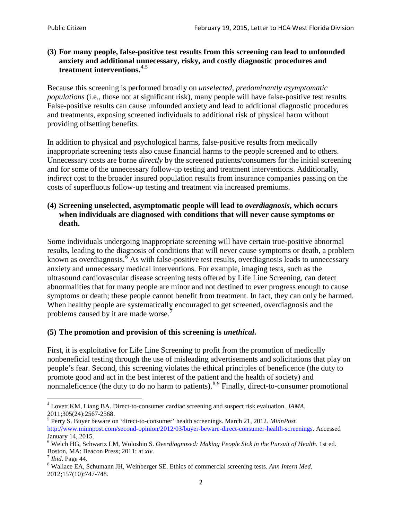# **(3) For many people, false-positive test results from this screening can lead to unfounded anxiety and additional unnecessary, risky, and costly diagnostic procedures and treatment interventions.**[4](#page-1-0),[5](#page-1-1)

Because this screening is performed broadly on *unselected, predominantly asymptomatic populations* (i.e., those not at significant risk), many people will have false**-**positive test results. False-positive results can cause unfounded anxiety and lead to additional diagnostic procedures and treatments, exposing screened individuals to additional risk of physical harm without providing offsetting benefits.

In addition to physical and psychological harms, false-positive results from medically inappropriate screening tests also cause financial harms to the people screened and to others. Unnecessary costs are borne *directly* by the screened patients/consumers for the initial screening and for some of the unnecessary follow-up testing and treatment interventions. Additionally, *indirect* cost to the broader insured population results from insurance companies passing on the costs of superfluous follow-up testing and treatment via increased premiums.

# **(4) Screening unselected, asymptomatic people will lead to** *overdiagnosis***, which occurs when individuals are diagnosed with conditions that will never cause symptoms or death.**

Some individuals undergoing inappropriate screening will have certain true-positive abnormal results, leading to the diagnosis of conditions that will never cause symptoms or death, a problem known as overdiagnosis.<sup>[6](#page-1-2)</sup> As with false-positive test results, overdiagnosis leads to unnecessary anxiety and unnecessary medical interventions. For example, imaging tests, such as the ultrasound cardiovascular disease screening tests offered by Life Line Screening, can detect abnormalities that for many people are minor and not destined to ever progress enough to cause symptoms or death; these people cannot benefit from treatment. In fact, they can only be harmed. When healthy people are systematically encouraged to get screened, overdiagnosis and the problems caused by it are made worse.<sup>[7](#page-1-3)</sup>

# **(5) The promotion and provision of this screening is** *unethical***.**

First, it is exploitative for Life Line Screening to profit from the promotion of medically nonbeneficial testing through the use of misleading advertisements and solicitations that play on people's fear. Second, this screening violates the ethical principles of beneficence (the duty to promote good and act in the best interest of the patient and the health of society) and nonmaleficence (the duty to do no harm to patients).<sup>[8](#page-1-4),[9](#page-1-5)</sup> Finally, direct-to-consumer promotional

<span id="page-1-4"></span>2012;157(10):747-748.

<span id="page-1-5"></span><span id="page-1-0"></span><sup>4</sup> Lovett KM, Liang BA. Direct-to-consumer cardiac screening and suspect risk evaluation. *JAMA*.

<span id="page-1-1"></span><sup>2011;305(24):2567-2568.</sup> <sup>5</sup> Perry S. Buyer beware on 'direct-to-consumer' health screenings. March 21, 2012. *MinnPost.*  [http://www.minnpost.com/second-opinion/2012/03/buyer-beware-direct-consumer-health-screenings.](http://www.minnpost.com/second-opinion/2012/03/buyer-beware-direct-consumer-health-screenings) Accessed January 14, 2015.

<span id="page-1-2"></span><sup>6</sup> Welch HG, Schwartz LM, Woloshin S. *Overdiagnosed: Making People Sick in the Pursuit of Health*. 1st ed. Boston, MA: Beacon Press; 2011: at *xiv*.<br><sup>7</sup> *Ibid*. Page 44.<br><sup>8</sup> Wallace EA, Schumann JH, Weinberger SE. Ethics of commercial screening tests. *Ann Intern Med*.

<span id="page-1-3"></span>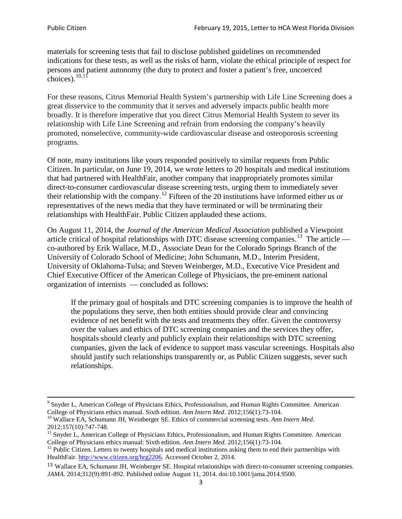materials for screening tests that fail to disclose published guidelines on recommended indications for these tests, as well as the risks of harm, violate the ethical principle of respect for persons and patient autonomy (the duty to protect and foster a patient's free, uncoerced choices). $\frac{10,11}{10,11}$  $\frac{10,11}{10,11}$  $\frac{10,11}{10,11}$  $\frac{10,11}{10,11}$ 

For these reasons, Citrus Memorial Health System's partnership with Life Line Screening does a great disservice to the community that it serves and adversely impacts public health more broadly. It is therefore imperative that you direct Citrus Memorial Health System to sever its relationship with Life Line Screening and refrain from endorsing the company's heavily promoted, nonselective, community**-**wide cardiovascular disease and osteoporosis screening programs.

Of note, many institutions like yours responded positively to similar requests from Public Citizen. In particular, on June 19, 2014, we wrote letters to 20 hospitals and medical institutions that had partnered with HealthFair, another company that inappropriately promotes similar direct-to-consumer cardiovascular disease screening tests, urging them to immediately sever their relationship with the company. [12](#page-2-2) Fifteen of the 20 institutions have informed either us or representatives of the news media that they have terminated or will be terminating their relationships with HealthFair. Public Citizen applauded these actions.

On August 11, 2014, the *Journal of the American Medical Association* published a Viewpoint article critical of hospital relationships with DTC disease screening companies.<sup>13</sup> The article co-authored by Erik Wallace, M.D., Associate Dean for the Colorado Springs Branch of the University of Colorado School of Medicine; John Schumann, M.D., Interim President, University of Oklahoma-Tulsa; and Steven Weinberger, M.D., Executive Vice President and Chief Executive Officer of the American College of Physicians, the pre**-**eminent national organization of internists — concluded as follows:

If the primary goal of hospitals and DTC screening companies is to improve the health of the populations they serve, then both entities should provide clear and convincing evidence of net benefit with the tests and treatments they offer. Given the controversy over the values and ethics of DTC screening companies and the services they offer, hospitals should clearly and publicly explain their relationships with DTC screening companies, given the lack of evidence to support mass vascular screenings. Hospitals also should justify such relationships transparently or, as Public Citizen suggests, sever such relationships.

<sup>&</sup>lt;sup>9</sup> Snyder L, American College of Physicians Ethics, Professionalism, and Human Rights Committee. American College of Physicians ethics manual. Sixth edition. Ann Intern Med. 2012;156(1):73-104.

<span id="page-2-0"></span><sup>&</sup>lt;sup>10</sup> Wallace EA, Schumann JH, Weinberger SE. Ethics of commercial screening tests. *Ann Intern Med*. 2012;157(10):747-748.

<span id="page-2-1"></span> $11$  Snyder L, American College of Physicians Ethics, Professionalism, and Human Rights Committee. American College of Physicians ethics manual: Sixth edition. *Ann Intern Med*. 2012;156(1):73-104.<br><sup>12</sup> Public Citizen. Letters to twenty hospitals and medical institutions asking them to end their partnerships with

<span id="page-2-2"></span>HealthFair. [http://www.citizen.org/hrg2206.](http://www.citizen.org/hrg2206) Accessed October 2, 2014.

<span id="page-2-3"></span><sup>13</sup> Wallace EA, Schumann JH, Weinberger SE. Hospital relationships with direct-to-consumer screening companies. *JAMA*. 2014;312(9):891-892. Published online August 11, 2014. doi:10.1001/jama.2014.9500.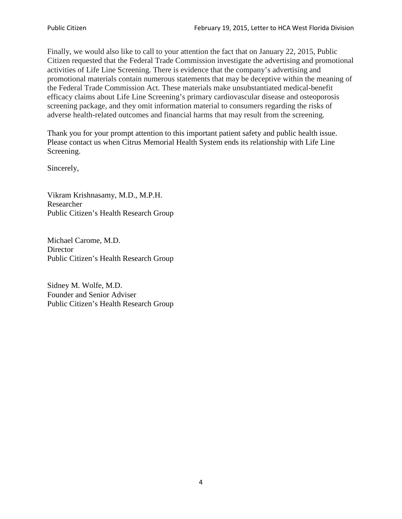Finally, we would also like to call to your attention the fact that on January 22, 2015, Public Citizen requested that the Federal Trade Commission investigate the advertising and promotional activities of Life Line Screening. There is evidence that the company's advertising and promotional materials contain numerous statements that may be deceptive within the meaning of the Federal Trade Commission Act. These materials make unsubstantiated medical-benefit efficacy claims about Life Line Screening's primary cardiovascular disease and osteoporosis screening package, and they omit information material to consumers regarding the risks of adverse health-related outcomes and financial harms that may result from the screening.

Thank you for your prompt attention to this important patient safety and public health issue. Please contact us when Citrus Memorial Health System ends its relationship with Life Line Screening.

Sincerely,

Vikram Krishnasamy, M.D., M.P.H. Researcher Public Citizen's Health Research Group

Michael Carome, M.D. **Director** Public Citizen's Health Research Group

Sidney M. Wolfe, M.D. Founder and Senior Adviser Public Citizen's Health Research Group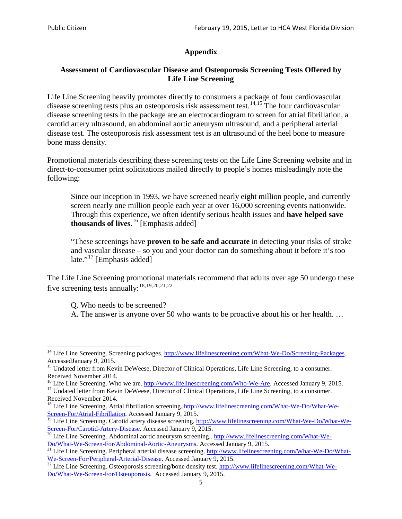# **Appendix**

# **Assessment of Cardiovascular Disease and Osteoporosis Screening Tests Offered by Life Line Screening**

Life Line Screening heavily promotes directly to consumers a package of four cardiovascular disease screening tests plus an osteoporosis risk assessment test.<sup>[14](#page-4-0),[15](#page-4-1)</sup> The four cardiovascular disease screening tests in the package are an electrocardiogram to screen for atrial fibrillation, a carotid artery ultrasound, an abdominal aortic aneurysm ultrasound, and a peripheral arterial disease test. The osteoporosis risk assessment test is an ultrasound of the heel bone to measure bone mass density.

Promotional materials describing these screening tests on the Life Line Screening website and in direct-to-consumer print solicitations mailed directly to people's homes misleadingly note the following:

Since our inception in 1993, we have screened nearly eight million people, and currently screen nearly one million people each year at over 16,000 screening events nationwide. Through this experience, we often identify serious health issues and **have helped save thousands of lives**. [16](#page-4-2) [Emphasis added]

"These screenings have **proven to be safe and accurate** in detecting your risks of stroke and vascular disease – so you and your doctor can do something about it before it's too late."<sup>[17](#page-4-3)</sup> [Emphasis added]

The Life Line Screening promotional materials recommend that adults over age 50 undergo these five screening tests annually:<sup>[18](#page-4-4),[19,](#page-4-5)[20,](#page-4-6)[21](#page-4-7),[22](#page-4-8)</sup>

Q. Who needs to be screened?

A. The answer is anyone over 50 who wants to be proactive about his or her health. …

<span id="page-4-0"></span><sup>&</sup>lt;sup>14</sup> Life Line Screening. Screening packages. [http://www.lifelinescreening.com/What-We-Do/Screening-Packages.](http://www.lifelinescreening.com/What-We-Do/Screening-Packages) AccessedJanuary 9, 2015.

<span id="page-4-1"></span><sup>&</sup>lt;sup>15</sup> Undated letter from Kevin DeWeese, Director of Clinical Operations, Life Line Screening, to a consumer.

Received November 2014.<br><sup>16</sup> Life Line Screening. Who we are. http://www.lifelinescreening.com/Who-We-Are. Accessed January 9, 2015.

<span id="page-4-3"></span><span id="page-4-2"></span><sup>&</sup>lt;sup>17</sup> Undated letter from Kevin DeWeese, Director of Clinical Operations, Life Line Screening, to a consumer. Received November 2014.

<span id="page-4-4"></span><sup>&</sup>lt;sup>18</sup> Life Line Screening. Atrial fibrillation screening. [http://www.lifelinescreening.com/What-We-Do/What-We-](http://www.lifelinescreening.com/What-We-Do/What-We-Screen-For/Atrial-Fibrillation)[Screen-For/Atrial-Fibrillation.](http://www.lifelinescreening.com/What-We-Do/What-We-Screen-For/Atrial-Fibrillation) Accessed January 9, 2015.

<span id="page-4-5"></span><sup>&</sup>lt;sup>19</sup> Life Line Screening. Carotid artery disease screening. [http://www.lifelinescreening.com/What-We-Do/What-We-](http://www.lifelinescreening.com/What-We-Do/What-We-Screen-For/Carotid-Artery-Disease)

<span id="page-4-6"></span>[Screen-For/Carotid-Artery-Disease.](http://www.lifelinescreening.com/What-We-Do/What-We-Screen-For/Carotid-Artery-Disease) Accessed January 9, 2015.<br><sup>20</sup> Life Line Screening. Abdominal aortic aneurysm screening.. http://www.lifelinescreening.com/What-We-<br>Do/What-We-Screen-For/Abdominal-Aortic-Aneurysms. Acces

<span id="page-4-7"></span> $\frac{1}{21}$  Life Line Screening. Peripheral arterial disease screening. [http://www.lifelinescreening.com/What-We-Do/What-](http://www.lifelinescreening.com/What-We-Do/What-We-Screen-For/Peripheral-Arterial-Disease)

<span id="page-4-8"></span>[We-Screen-For/Peripheral-Arterial-Disease.](http://www.lifelinescreening.com/What-We-Do/What-We-Screen-For/Peripheral-Arterial-Disease) Accessed January 9, 2015.<br><sup>22</sup> Life Line Screening. Osteoporosis screening/bone density test. [http://www.lifelinescreening.com/What-We-](http://www.lifelinescreening.com/What-We-Do/What-We-Screen-For/Osteoporosis)[Do/What-We-Screen-For/Osteoporosis.](http://www.lifelinescreening.com/What-We-Do/What-We-Screen-For/Osteoporosis) Accessed January 9, 2015.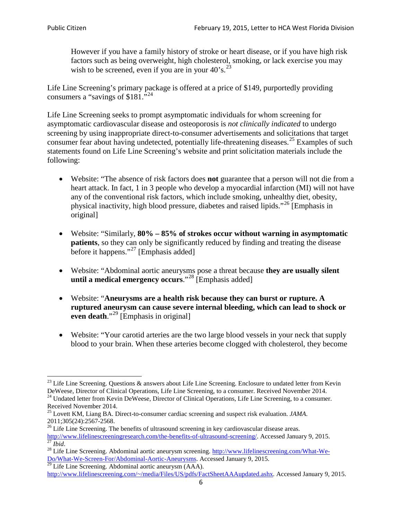However if you have a family history of stroke or heart disease, or if you have high risk factors such as being overweight, high cholesterol, smoking, or lack exercise you may wish to be screened, even if you are in your  $40^\circ$ s.<sup>[23](#page-5-0)</sup>

Life Line Screening's primary package is offered at a price of \$149, purportedly providing consumers a "savings of \$181."<sup>[24](#page-5-1)</sup>

Life Line Screening seeks to prompt asymptomatic individuals for whom screening for asymptomatic cardiovascular disease and osteoporosis is *not clinically indicated* to undergo screening by using inappropriate direct-to-consumer advertisements and solicitations that target consumer fear about having undetected, potentially life-threatening diseases.<sup>[25](#page-5-2)</sup> Examples of such statements found on Life Line Screening's website and print solicitation materials include the following:

- Website: "The absence of risk factors does **not** guarantee that a person will not die from a heart attack. In fact, 1 in 3 people who develop a myocardial infarction (MI) will not have any of the conventional risk factors, which include smoking, unhealthy diet, obesity, physical inactivity, high blood pressure, diabetes and raised lipids."[26](#page-5-3) [Emphasis in original]
- Website: "Similarly, **80% – 85% of strokes occur without warning in asymptomatic patients**, so they can only be significantly reduced by finding and treating the disease before it happens."<sup>[27](#page-5-4)</sup> [Emphasis added]
- Website: "Abdominal aortic aneurysms pose a threat because **they are usually silent until a medical emergency occurs**."[28](#page-5-5) [Emphasis added]
- Website: "**Aneurysms are a health risk because they can burst or rupture. A ruptured aneurysm can cause severe internal bleeding, which can lead to shock or even death.**"<sup>[29](#page-5-6)</sup> [Emphasis in original]
- Website: "Your carotid arteries are the two large blood vessels in your neck that supply blood to your brain. When these arteries become clogged with cholesterol, they become

<span id="page-5-0"></span><sup>&</sup>lt;sup>23</sup> Life Line Screening. Questions  $\&$  answers about Life Line Screening. Enclosure to undated letter from Kevin DeWeese, Director of Clinical Operations, Life Line Screening, to a consumer. Received November 2014.

<span id="page-5-1"></span><sup>&</sup>lt;sup>24</sup> Undated letter from Kevin DeWeese, Director of Clinical Operations, Life Line Screening, to a consumer. Received November 2014.

<span id="page-5-2"></span><sup>25</sup> Lovett KM, Liang BA. Direct-to-consumer cardiac screening and suspect risk evaluation. *JAMA*.  $2011;305(24):2567-2568$ .<br><sup>26</sup> Life Line Screening. The benefits of ultrasound screening in key cardiovascular disease areas.

<span id="page-5-3"></span>[http://www.lifelinescreeningresearch.com/the-benefits-of-ultrasound-screening/.](http://www.lifelinescreeningresearch.com/the-benefits-of-ultrasound-screening/) Accessed January 9, 2015.<br><sup>28</sup> Life Line Screening. Abdominal aortic aneurysm screening. http://www.lifelinescreening.com/What-We-<sup>28</sup>

<span id="page-5-5"></span><span id="page-5-4"></span>[Do/What-We-Screen-For/Abdominal-Aortic-Aneurysms.](http://www.lifelinescreening.com/What-We-Do/What-We-Screen-For/Abdominal-Aortic-Aneurysms) Accessed January 9, 2015. <sup>29</sup> Life Line Screening. Abdominal aortic aneurysm (AAA).

<span id="page-5-6"></span>[http://www.lifelinescreening.com/~/media/Files/US/pdfs/FactSheetAAAupdated.ashx.](http://www.lifelinescreening.com/~/media/Files/US/pdfs/FactSheetAAAupdated.ashx) Accessed January 9, 2015.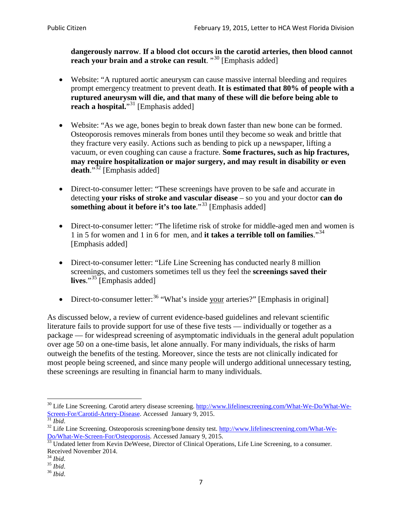**dangerously narrow**. **If a blood clot occurs in the carotid arteries, then blood cannot reach your brain and a stroke can result**. "<sup>[30](#page-6-0)</sup> [Emphasis added]

- Website: "A ruptured aortic aneurysm can cause massive internal bleeding and requires prompt emergency treatment to prevent death. **It is estimated that 80% of people with a ruptured aneurysm will die, and that many of these will die before being able to reach a hospital.**"<sup>[31](#page-6-1)</sup> [Emphasis added]
- Website: "As we age, bones begin to break down faster than new bone can be formed. Osteoporosis removes minerals from bones until they become so weak and brittle that they fracture very easily. Actions such as bending to pick up a newspaper, lifting a vacuum, or even coughing can cause a fracture. **Some fractures, such as hip fractures, may require hospitalization or major surgery, and may result in disability or even**  death."<sup>[32](#page-6-2)</sup> [Emphasis added]
- Direct-to-consumer letter: "These screenings have proven to be safe and accurate in detecting **your risks of stroke and vascular disease** – so you and your doctor **can do something about it before it's too late**."<sup>[33](#page-6-3)</sup> [Emphasis added]
- Direct-to-consumer letter: "The lifetime risk of stroke for middle-aged men and women is 1 in 5 for women and 1 in 6 for men, and **it takes a terrible toll on families**."[34](#page-6-4) [Emphasis added]
- Direct-to-consumer letter: "Life Line Screening has conducted nearly 8 million screenings, and customers sometimes tell us they feel the **screenings saved their lives**."[35](#page-6-5) [Emphasis added]
- Direct-to-consumer letter:  $36$  "What's inside your arteries?" [Emphasis in original]

As discussed below, a review of current evidence-based guidelines and relevant scientific literature fails to provide support for use of these five tests — individually or together as a package — for widespread screening of asymptomatic individuals in the general adult population over age 50 on a one-time basis, let alone annually. For many individuals, the risks of harm outweigh the benefits of the testing. Moreover, since the tests are not clinically indicated for most people being screened, and since many people will undergo additional unnecessary testing, these screenings are resulting in financial harm to many individuals.

<span id="page-6-0"></span><sup>&</sup>lt;sup>30</sup> Life Line Screening. Carotid artery disease screening. [http://www.lifelinescreening.com/What-We-Do/What-We-](http://www.lifelinescreening.com/What-We-Do/What-We-Screen-For/Carotid-Artery-Disease)[Screen-For/Carotid-Artery-Disease.](http://www.lifelinescreening.com/What-We-Do/What-We-Screen-For/Carotid-Artery-Disease) Accessed January 9, 2015.<br><sup>31</sup> *Ibid.* 32 Life Line Screening. Osteoporosis screening/bone density test. [http://www.lifelinescreening.com/What-We-](http://www.lifelinescreening.com/What-We-Do/What-We-Screen-For/Osteoporosis)

<span id="page-6-2"></span><span id="page-6-1"></span>[Do/What-We-Screen-For/Osteoporosis.](http://www.lifelinescreening.com/What-We-Do/What-We-Screen-For/Osteoporosis) Accessed January 9, 2015. <sup>33</sup> Undated letter from Kevin DeWeese, Director of Clinical Operations, Life Line Screening, to a consumer.

<span id="page-6-3"></span>Received November 2014.<br><sup>34</sup> Ibid.

<span id="page-6-4"></span>

<span id="page-6-5"></span><sup>34</sup> *Ibid*. 35 *Ibid*. 36 *Ibid*.

<span id="page-6-6"></span>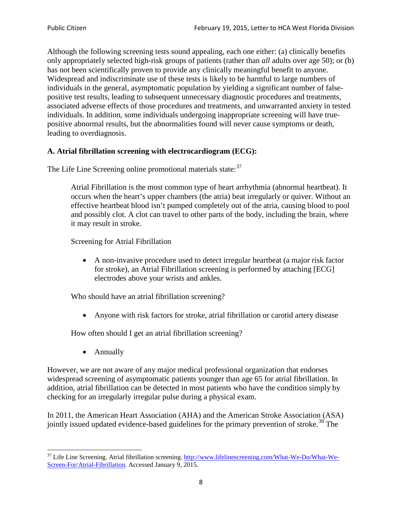Although the following screening tests sound appealing, each one either: (a) clinically benefits only appropriately selected high-risk groups of patients (rather than *all* adults over age 50); or (b) has not been scientifically proven to provide any clinically meaningful benefit to anyone. Widespread and indiscriminate use of these tests is likely to be harmful to large numbers of individuals in the general, asymptomatic population by yielding a significant number of falsepositive test results, leading to subsequent unnecessary diagnostic procedures and treatments, associated adverse effects of those procedures and treatments, and unwarranted anxiety in tested individuals. In addition, some individuals undergoing inappropriate screening will have truepositive abnormal results, but the abnormalities found will never cause symptoms or death, leading to overdiagnosis.

# **A. Atrial fibrillation screening with electrocardiogram (ECG):**

The Life Line Screening online promotional materials state:<sup>[37](#page-7-0)</sup>

Atrial Fibrillation is the most common type of heart arrhythmia (abnormal heartbeat). It occurs when the heart's upper chambers (the atria) beat irregularly or quiver. Without an effective heartbeat blood isn't pumped completely out of the atria, causing blood to pool and possibly clot. A clot can travel to other parts of the body, including the brain, where it may result in stroke.

Screening for Atrial Fibrillation

• A non-invasive procedure used to detect irregular heartbeat (a major risk factor for stroke), an Atrial Fibrillation screening is performed by attaching [ECG] electrodes above your wrists and ankles.

Who should have an atrial fibrillation screening?

• Anyone with risk factors for stroke, atrial fibrillation or carotid artery disease

How often should I get an atrial fibrillation screening?

• Annually

<span id="page-7-1"></span>However, we are not aware of any major medical professional organization that endorses widespread screening of asymptomatic patients younger than age 65 for atrial fibrillation. In addition, atrial fibrillation can be detected in most patients who have the condition simply by checking for an irregularly irregular pulse during a physical exam.

In 2011, the American Heart Association (AHA) and the American Stroke Association (ASA) jointly issued updated evidence-based guidelines for the primary prevention of stroke.<sup>[38](#page-7-1)</sup> The

<span id="page-7-0"></span><sup>&</sup>lt;sup>37</sup> Life Line Screening. Atrial fibrillation screening. [http://www.lifelinescreening.com/What-We-Do/What-We-](http://www.lifelinescreening.com/What-We-Do/What-We-Screen-For/Atrial-Fibrillation)[Screen-For/Atrial-Fibrillation.](http://www.lifelinescreening.com/What-We-Do/What-We-Screen-For/Atrial-Fibrillation) Accessed January 9, 2015.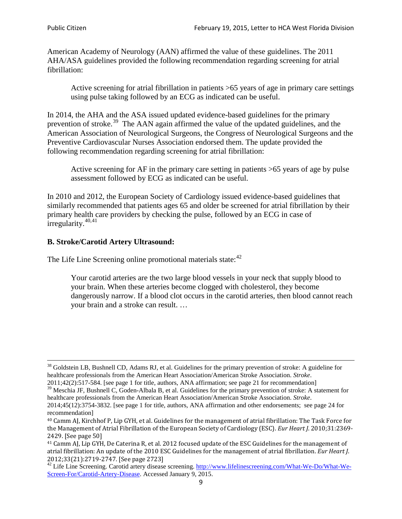American Academy of Neurology (AAN) affirmed the value of these guidelines. The 2011 AHA/ASA guidelines provided the following recommendation regarding screening for atrial fibrillation:

Active screening for atrial fibrillation in patients >65 years of age in primary care settings using pulse taking followed by an ECG as indicated can be useful.

In 2014, the AHA and the ASA issued updated evidence-based guidelines for the primary prevention of stroke.<sup>[39](#page-8-0)</sup> The AAN again affirmed the value of the updated guidelines, and the American Association of Neurological Surgeons, the Congress of Neurological Surgeons and the Preventive Cardiovascular Nurses Association endorsed them. The update provided the following recommendation regarding screening for atrial fibrillation:

Active screening for AF in the primary care setting in patients >65 years of age by pulse assessment followed by ECG as indicated can be useful.

In 2010 and 2012, the European Society of Cardiology issued evidence-based guidelines that similarly recommended that patients ages 65 and older be screened for atrial fibrillation by their primary health care providers by checking the pulse, followed by an ECG in case of irregularity. $40,41$  $40,41$ 

# **B. Stroke/Carotid Artery Ultrasound:**

The Life Line Screening online promotional materials state:<sup>[42](#page-8-3)</sup>

Your carotid arteries are the two large blood vessels in your neck that supply blood to your brain. When these arteries become clogged with cholesterol, they become dangerously narrow. If a blood clot occurs in the carotid arteries, then blood cannot reach your brain and a stroke can result. …

<sup>&</sup>lt;sup>38</sup> Goldstein LB, Bushnell CD, Adams RJ, et al. Guidelines for the primary prevention of stroke: A guideline for healthcare professionals from the American Heart Association/American Stroke Association. *Stroke*.

<sup>2011;42(2):517-584.</sup> [see page 1 for title, authors, ANA affirmation; see page 21 for recommendation]

<span id="page-8-0"></span> $\frac{2011,42(2)(317,601)}{39}$  Meschia JF, Bushnell C, Goden-Albala B, et al. Guidelines for the primary prevention of stroke: A statement for healthcare professionals from the American Heart Association/American Stroke Association. *Stroke*.

<sup>2014;45(12):3754-3832.</sup> [see page 1 for title, authors, ANA affirmation and other endorsements; see page 24 for recommendation]

<span id="page-8-1"></span><sup>40</sup> Camm AJ, Kirchhof P, Lip GYH, et al. Guidelines for the management of atrial fibrillation: The Task Force for the Management of Atrial Fibrillation of the European Society of Cardiology (ESC). *Eur Heart J*. 2010;31:2369- 2429. [See page 50]

<span id="page-8-2"></span><sup>41</sup> Camm AJ, Lip GYH, De Caterina R, et al. 2012 focused update of the ESC Guidelines for the management of atrial fibrillation: An update of the 2010 ESC Guidelines for the management of atrial fibrillation. *Eur Heart J*.

<span id="page-8-3"></span><sup>2012;33(21):2719-2747. [</sup>See page 2723]<br><sup>42</sup> Life Line Screening. Carotid artery disease screening. [http://www.lifelinescreening.com/What-We-Do/What-We-](http://www.lifelinescreening.com/What-We-Do/What-We-Screen-For/Carotid-Artery-Disease)[Screen-For/Carotid-Artery-Disease.](http://www.lifelinescreening.com/What-We-Do/What-We-Screen-For/Carotid-Artery-Disease) Accessed January 9, 2015.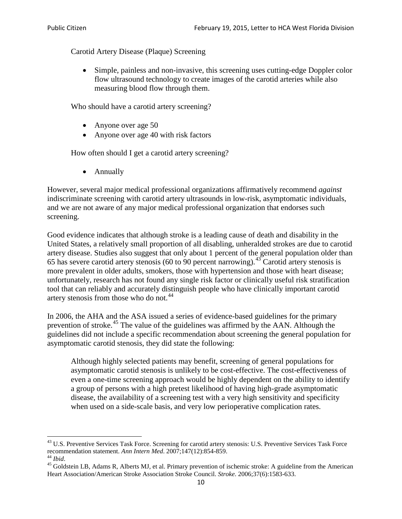Carotid Artery Disease (Plaque) Screening

• Simple, painless and non-invasive, this screening uses cutting-edge Doppler color flow ultrasound technology to create images of the carotid arteries while also measuring blood flow through them.

Who should have a carotid artery screening?

- Anyone over age 50
- Anyone over age 40 with risk factors

How often should I get a carotid artery screening?

• Annually

However, several major medical professional organizations affirmatively recommend *against* indiscriminate screening with carotid artery ultrasounds in low-risk, asymptomatic individuals, and we are not aware of any major medical professional organization that endorses such screening.

Good evidence indicates that although stroke is a leading cause of death and disability in the United States, a relatively small proportion of all disabling, unheralded strokes are due to carotid artery disease. Studies also suggest that only about 1 percent of the general population older than 65 has severe carotid artery stenosis (60 to 90 percent narrowing).<sup>[43](#page-9-0)</sup> Carotid artery stenosis is more prevalent in older adults, smokers, those with hypertension and those with heart disease; unfortunately, research has not found any single risk factor or clinically useful risk stratification tool that can reliably and accurately distinguish people who have clinically important carotid artery stenosis from those who do not.<sup>[44](#page-9-1)</sup>

In 2006, the AHA and the ASA issued a series of evidence-based guidelines for the primary prevention of stroke.[45](#page-9-2) The value of the guidelines was affirmed by the AAN. Although the guidelines did not include a specific recommendation about screening the general population for asymptomatic carotid stenosis, they did state the following:

Although highly selected patients may benefit, screening of general populations for asymptomatic carotid stenosis is unlikely to be cost-effective. The cost-effectiveness of even a one-time screening approach would be highly dependent on the ability to identify a group of persons with a high pretest likelihood of having high-grade asymptomatic disease, the availability of a screening test with a very high sensitivity and specificity when used on a side-scale basis, and very low perioperative complication rates.

<span id="page-9-0"></span> $^{43}$  U.S. Preventive Services Task Force. Screening for carotid artery stenosis: U.S. Preventive Services Task Force recommendation statement. Ann Intern Med. 2007;147(12):854-859.

<span id="page-9-2"></span>

<span id="page-9-1"></span><sup>&</sup>lt;sup>44</sup> *Ibid*. <sup>45</sup> Goldstein LB, Adams R, Alberts MJ, et al. Primary prevention of ischemic stroke: A guideline from the American <sup>45</sup> Goldstein LB, Adams R, Alberts MJ, et al. Primary prevention of ischemic stroke: A guide Heart Association/American Stroke Association Stroke Council. *Stroke*. 2006;37(6):1583-633.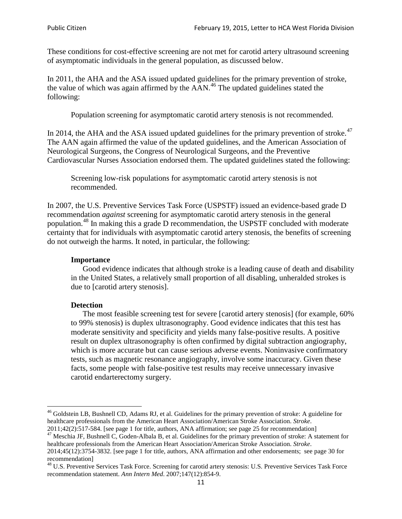These conditions for cost-effective screening are not met for carotid artery ultrasound screening of asymptomatic individuals in the general population, as discussed below.

In 2011, the AHA and the ASA issued updated guidelines for the primary prevention of stroke, the value of which was again affirmed by the  $AAN<sup>46</sup>$  $AAN<sup>46</sup>$  $AAN<sup>46</sup>$ . The updated guidelines stated the following:

Population screening for asymptomatic carotid artery stenosis is not recommended.

In 2014, the AHA and the ASA issued updated guidelines for the primary prevention of stroke.<sup>47</sup> The AAN again affirmed the value of the updated guidelines, and the American Association of Neurological Surgeons, the Congress of Neurological Surgeons, and the Preventive Cardiovascular Nurses Association endorsed them. The updated guidelines stated the following:

Screening low-risk populations for asymptomatic carotid artery stenosis is not recommended.

In 2007, the U.S. Preventive Services Task Force (USPSTF) issued an evidence-based grade D recommendation *against* screening for asymptomatic carotid artery stenosis in the general population.[48](#page-10-2) In making this a grade D recommendation, the USPSTF concluded with moderate certainty that for individuals with asymptomatic carotid artery stenosis, the benefits of screening do not outweigh the harms. It noted, in particular, the following:

#### **Importance**

Good evidence indicates that although stroke is a leading cause of death and disability in the United States, a relatively small proportion of all disabling, unheralded strokes is due to [carotid artery stenosis].

#### **Detection**

The most feasible screening test for severe [carotid artery stenosis] (for example, 60% to 99% stenosis) is duplex ultrasonography. Good evidence indicates that this test has moderate sensitivity and specificity and yields many false-positive results. A positive result on duplex ultrasonography is often confirmed by digital subtraction angiography, which is more accurate but can cause serious adverse events. Noninvasive confirmatory tests, such as magnetic resonance angiography, involve some inaccuracy. Given these facts, some people with false-positive test results may receive unnecessary invasive carotid endarterectomy surgery.

<span id="page-10-0"></span><sup>&</sup>lt;sup>46</sup> Goldstein LB, Bushnell CD, Adams RJ, et al. Guidelines for the primary prevention of stroke: A guideline for healthcare professionals from the American Heart Association/American Stroke Association. *Stroke*.<br>2011;42(2):517-584. [see page 1 for title, authors, ANA affirmation; see page 25 for recommendation]

<span id="page-10-1"></span><sup>&</sup>lt;sup>47</sup> Meschia JF, Bushnell C, Goden-Albala B, et al. Guidelines for the primary prevention of stroke: A statement for healthcare professionals from the American Heart Association/American Stroke Association. *Stroke*. 2014;45(12):3754-3832. [see page 1 for title, authors, ANA affirmation and other endorsements; see page 30 for

recommendation]

<span id="page-10-2"></span><sup>&</sup>lt;sup>48</sup> U.S. Preventive Services Task Force. Screening for carotid artery stenosis: U.S. Preventive Services Task Force recommendation statement. *Ann Intern Med*. 2007;147(12):854-9.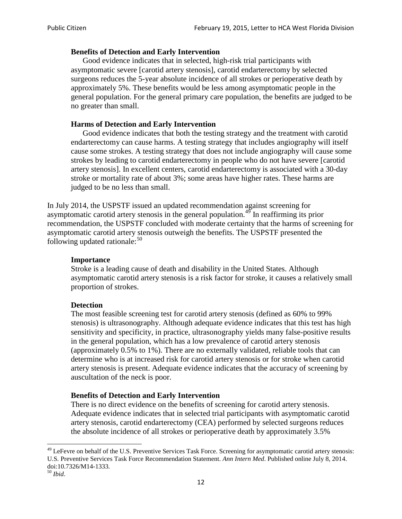## **Benefits of Detection and Early Intervention**

Good evidence indicates that in selected, high-risk trial participants with asymptomatic severe [carotid artery stenosis], carotid endarterectomy by selected surgeons reduces the 5-year absolute incidence of all strokes or perioperative death by approximately 5%. These benefits would be less among asymptomatic people in the general population. For the general primary care population, the benefits are judged to be no greater than small.

## **Harms of Detection and Early Intervention**

Good evidence indicates that both the testing strategy and the treatment with carotid endarterectomy can cause harms. A testing strategy that includes angiography will itself cause some strokes. A testing strategy that does not include angiography will cause some strokes by leading to carotid endarterectomy in people who do not have severe [carotid artery stenosis]. In excellent centers, carotid endarterectomy is associated with a 30-day stroke or mortality rate of about 3%; some areas have higher rates. These harms are judged to be no less than small.

In July 2014, the USPSTF issued an updated recommendation against screening for asymptomatic carotid artery stenosis in the general population.<sup>[49](#page-11-0)</sup> In reaffirming its prior recommendation, the USPSTF concluded with moderate certainty that the harms of screening for asymptomatic carotid artery stenosis outweigh the benefits. The USPSTF presented the following updated rationale: $50$ 

### **Importance**

Stroke is a leading cause of death and disability in the United States. Although asymptomatic carotid artery stenosis is a risk factor for stroke, it causes a relatively small proportion of strokes.

#### **Detection**

The most feasible screening test for carotid artery stenosis (defined as 60% to 99% stenosis) is ultrasonography. Although adequate evidence indicates that this test has high sensitivity and specificity, in practice, ultrasonography yields many false-positive results in the general population, which has a low prevalence of carotid artery stenosis (approximately 0.5% to 1%). There are no externally validated, reliable tools that can determine who is at increased risk for carotid artery stenosis or for stroke when carotid artery stenosis is present. Adequate evidence indicates that the accuracy of screening by auscultation of the neck is poor.

## **Benefits of Detection and Early Intervention**

There is no direct evidence on the benefits of screening for carotid artery stenosis. Adequate evidence indicates that in selected trial participants with asymptomatic carotid artery stenosis, carotid endarterectomy (CEA) performed by selected surgeons reduces the absolute incidence of all strokes or perioperative death by approximately 3.5%

<span id="page-11-0"></span><sup>&</sup>lt;sup>49</sup> LeFevre on behalf of the U.S. Preventive Services Task Force. Screening for asymptomatic carotid artery stenosis: U.S. Preventive Services Task Force Recommendation Statement. *Ann Intern Med*. Published online July 8, 2014. doi:10.7326/M14-1333. <sup>50</sup> *Ibid*.

<span id="page-11-1"></span>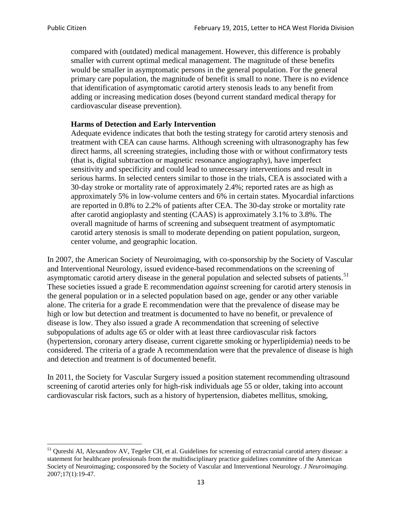compared with (outdated) medical management. However, this difference is probably smaller with current optimal medical management. The magnitude of these benefits would be smaller in asymptomatic persons in the general population. For the general primary care population, the magnitude of benefit is small to none. There is no evidence that identification of asymptomatic carotid artery stenosis leads to any benefit from adding or increasing medication doses (beyond current standard medical therapy for cardiovascular disease prevention).

### **Harms of Detection and Early Intervention**

Adequate evidence indicates that both the testing strategy for carotid artery stenosis and treatment with CEA can cause harms. Although screening with ultrasonography has few direct harms, all screening strategies, including those with or without confirmatory tests (that is, digital subtraction or magnetic resonance angiography), have imperfect sensitivity and specificity and could lead to unnecessary interventions and result in serious harms. In selected centers similar to those in the trials, CEA is associated with a 30-day stroke or mortality rate of approximately 2.4%; reported rates are as high as approximately 5% in low-volume centers and 6% in certain states. Myocardial infarctions are reported in 0.8% to 2.2% of patients after CEA. The 30-day stroke or mortality rate after carotid angioplasty and stenting (CAAS) is approximately 3.1% to 3.8%. The overall magnitude of harms of screening and subsequent treatment of asymptomatic carotid artery stenosis is small to moderate depending on patient population, surgeon, center volume, and geographic location.

In 2007, the American Society of Neuroimaging, with co-sponsorship by the Society of Vascular and Interventional Neurology, issued evidence-based recommendations on the screening of asymptomatic carotid artery disease in the general population and selected subsets of patients.<sup>[51](#page-12-0)</sup> These societies issued a grade E recommendation *against* screening for carotid artery stenosis in the general population or in a selected population based on age, gender or any other variable alone. The criteria for a grade E recommendation were that the prevalence of disease may be high or low but detection and treatment is documented to have no benefit, or prevalence of disease is low. They also issued a grade A recommendation that screening of selective subpopulations of adults age 65 or older with at least three cardiovascular risk factors (hypertension, coronary artery disease, current cigarette smoking or hyperlipidemia) needs to be considered. The criteria of a grade A recommendation were that the prevalence of disease is high and detection and treatment is of documented benefit.

In 2011, the Society for Vascular Surgery issued a position statement recommending ultrasound screening of carotid arteries only for high-risk individuals age 55 or older, taking into account cardiovascular risk factors, such as a history of hypertension, diabetes mellitus, smoking,

<span id="page-12-0"></span><sup>&</sup>lt;sup>51</sup> Qureshi AI, Alexandrov AV, Tegeler CH, et al. Guidelines for screening of extracranial carotid artery disease: a statement for healthcare professionals from the multidisciplinary practice guidelines committee of the American Society of Neuroimaging; cosponsored by the Society of Vascular and Interventional Neurology. *J Neuroimaging*. 2007;17(1):19-47.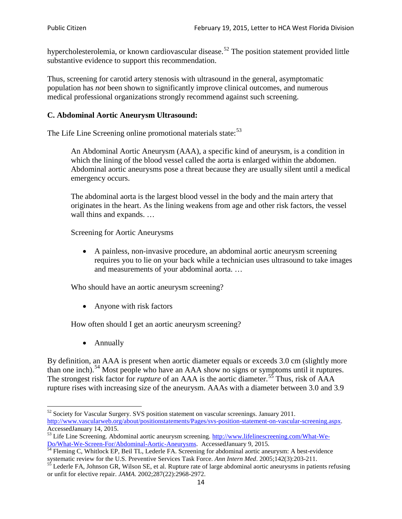hypercholesterolemia, or known cardiovascular disease.<sup>[52](#page-13-0)</sup> The position statement provided little substantive evidence to support this recommendation.

Thus, screening for carotid artery stenosis with ultrasound in the general, asymptomatic population has *not* been shown to significantly improve clinical outcomes, and numerous medical professional organizations strongly recommend against such screening.

## **C. Abdominal Aortic Aneurysm Ultrasound:**

The Life Line Screening online promotional materials state:<sup>[53](#page-13-1)</sup>

An Abdominal Aortic Aneurysm (AAA), a specific kind of aneurysm, is a condition in which the lining of the blood vessel called the aorta is enlarged within the abdomen. Abdominal aortic aneurysms pose a threat because they are usually silent until a medical emergency occurs.

The abdominal aorta is the largest blood vessel in the body and the main artery that originates in the heart. As the lining weakens from age and other risk factors, the vessel wall thins and expands. …

Screening for Aortic Aneurysms

• A painless, non-invasive procedure, an abdominal aortic aneurysm screening requires you to lie on your back while a technician uses ultrasound to take images and measurements of your abdominal aorta. …

Who should have an aortic aneurysm screening?

• Anyone with risk factors

How often should I get an aortic aneurysm screening?

• Annually

By definition, an AAA is present when aortic diameter equals or exceeds 3.0 cm (slightly more than one inch).<sup>[54](#page-13-2)</sup> Most people who have an AAA show no signs or symptoms until it ruptures. The strongest risk factor for *rupture* of an AAA is the aortic diameter.<sup>[55](#page-13-3)</sup> Thus, risk of AAA rupture rises with increasing size of the aneurysm. AAAs with a diameter between 3.0 and 3.9

<span id="page-13-0"></span><sup>&</sup>lt;sup>52</sup> Society for Vascular Surgery. SVS position statement on vascular screenings. January 2011. http://www.vascularweb.org/about/positionstatements/Pages/svs-position-statement-on-vascular-screening.aspx.<br>Accessed January 14, 2015.

<span id="page-13-1"></span>Accessed January 14, 2015.<br>
Sa Life Line Screening. Abdominal aortic aneurysm screening. http://www.lifelinescreening.com/What-We-<br>
Do/What-We-Screen-For/Abdominal-Aortic-Aneurysms. Accessed January 9, 2015.

<span id="page-13-2"></span> $\frac{54}{9}$  Fleming C, Whitlock EP, Beil TL, Lederle FA. Screening for abdominal aortic aneurysm: A best-evidence systematic review for the U.S. Preventive Services Task Force. *Ann Intern Med.* 2005;142(3):203-211.<br><sup>55</sup> Lederle FA, Johnson GR, Wilson SE, et al. Rupture rate of large abdominal aortic aneurysms in patients refusing

<span id="page-13-3"></span>or unfit for elective repair. *JAMA*. 2002;287(22):2968-2972.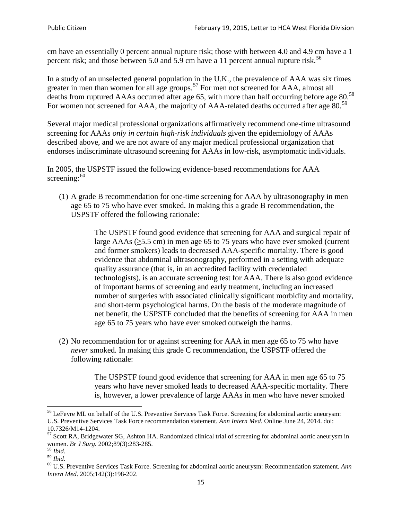cm have an essentially 0 percent annual rupture risk; those with between 4.0 and 4.9 cm have a 1 percent risk; and those between 5.0 and 5.9 cm have a 11 percent annual rupture risk.<sup>[56](#page-14-0)</sup>

In a study of an unselected general population in the U.K., the prevalence of AAA was six times greater in men than women for all age groups.<sup>[57](#page-14-1)</sup> For men not screened for  $AAA$ , almost all deaths from ruptured AAAs occurred after age 65, with more than half occurring before age 80.<sup>[58](#page-14-2)</sup> For women not screened for AAA, the majority of AAA-related deaths occurred after age 80.<sup>[59](#page-14-3)</sup>

Several major medical professional organizations affirmatively recommend one-time ultrasound screening for AAAs *only in certain high-risk individuals* given the epidemiology of AAAs described above, and we are not aware of any major medical professional organization that endorses indiscriminate ultrasound screening for AAAs in low-risk, asymptomatic individuals.

In 2005, the USPSTF issued the following evidence-based recommendations for AAA screening: $60$ 

(1) A grade B recommendation for one-time screening for AAA by ultrasonography in men age 65 to 75 who have ever smoked. In making this a grade [B recommendation,](http://www.uspreventiveservicestaskforce.org/uspstf/gradespre.htm#brec) the USPSTF offered the following rationale:

> The USPSTF found good evidence that screening for AAA and surgical repair of large AAAs ( $\geq$ 5.5 cm) in men age 65 to 75 years who have ever smoked (current and former smokers) leads to decreased AAA-specific mortality. There is good evidence that abdominal ultrasonography, performed in a setting with adequate quality assurance (that is, in an accredited facility with credentialed technologists), is an accurate screening test for AAA. There is also good evidence of important harms of screening and early treatment, including an increased number of surgeries with associated clinically significant morbidity and mortality, and short-term psychological harms. On the basis of the moderate magnitude of net benefit, the USPSTF concluded that the benefits of screening for AAA in men age 65 to 75 years who have ever smoked outweigh the harms.

(2) No recommendation for or against screening for AAA in men age 65 to 75 who have *never* smoked. In making this grade C recommendation, the USPSTF offered the following rationale:

> The USPSTF found good evidence that screening for AAA in men age 65 to 75 years who have never smoked leads to decreased AAA-specific mortality. There is, however, a lower prevalence of large AAAs in men who have never smoked

<span id="page-14-0"></span><sup>&</sup>lt;sup>56</sup> LeFevre ML on behalf of the U.S. Preventive Services Task Force. Screening for abdominal aortic aneurysm: U.S. Preventive Services Task Force recommendation statement. *Ann Intern Med*. Online June 24, 2014. doi:

<span id="page-14-1"></span><sup>10.7326/</sup>M14-1204.<br> $57$  Scott RA, Bridgewater SG, Ashton HA. Randomized clinical trial of screening for abdominal aortic aneurysm in women. *Br J Surg.* 2002;89(3):283-285.

<span id="page-14-4"></span><span id="page-14-3"></span>

<span id="page-14-2"></span><sup>&</sup>lt;sup>58</sup> *Ibid.*<br><sup>59</sup> *Ibid.* 2002;<br><sup>60</sup> U.S. Preventive Services Task Force. Screening for abdominal aortic aneurysm: Recommendation statement. *Ann Intern Med*. 2005;142(3):198-202.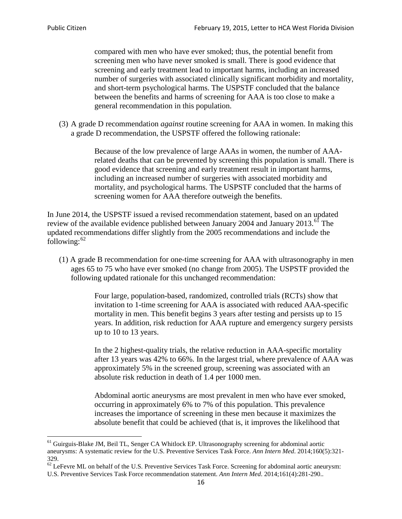compared with men who have ever smoked; thus, the potential benefit from screening men who have never smoked is small. There is good evidence that screening and early treatment lead to important harms, including an increased number of surgeries with associated clinically significant morbidity and mortality, and short-term psychological harms. The USPSTF concluded that the balance between the benefits and harms of screening for AAA is too close to make a general recommendation in this population.

(3) A grade D recommendation *against* routine screening for AAA in women. In making this a grade D recommendation, the USPSTF offered the following rationale:

> Because of the low prevalence of large AAAs in women, the number of AAArelated deaths that can be prevented by screening this population is small. There is good evidence that screening and early treatment result in important harms, including an increased number of surgeries with associated morbidity and mortality, and psychological harms. The USPSTF concluded that the harms of screening women for AAA therefore outweigh the benefits.

In June 2014, the USPSTF issued a revised recommendation statement, based on an updated review of the available evidence published between January 2004 and January 2013.<sup>[61](#page-15-0)</sup> The updated recommendations differ slightly from the 2005 recommendations and include the following: $62$ 

(1) A grade B recommendation for one-time screening for AAA with ultrasonography in men ages 65 to 75 who have ever smoked (no change from 2005). The USPSTF provided the following updated rationale for this unchanged recommendation:

> Four large, population-based, randomized, controlled trials (RCTs) show that invitation to 1-time screening for AAA is associated with reduced AAA-specific mortality in men. This benefit begins 3 years after testing and persists up to 15 years. In addition, risk reduction for AAA rupture and emergency surgery persists up to 10 to 13 years.

> In the 2 highest-quality trials, the relative reduction in AAA-specific mortality after 13 years was 42% to 66%. In the largest trial, where prevalence of AAA was approximately 5% in the screened group, screening was associated with an absolute risk reduction in death of 1.4 per 1000 men.

Abdominal aortic aneurysms are most prevalent in men who have ever smoked, occurring in approximately 6% to 7% of this population. This prevalence increases the importance of screening in these men because it maximizes the absolute benefit that could be achieved (that is, it improves the likelihood that

<span id="page-15-0"></span><sup>61</sup> Guirguis-Blake JM, Beil TL, Senger CA Whitlock EP. Ultrasonography screening for abdominal aortic aneurysms: A systematic review for the U.S. Preventive Services Task Force. *Ann Intern Med*. 2014;160(5):321- 329.

<span id="page-15-1"></span> $62$  LeFevre ML on behalf of the U.S. Preventive Services Task Force. Screening for abdominal aortic aneurysm: U.S. Preventive Services Task Force recommendation statement. *Ann Intern Med*. 2014;161(4):281-290..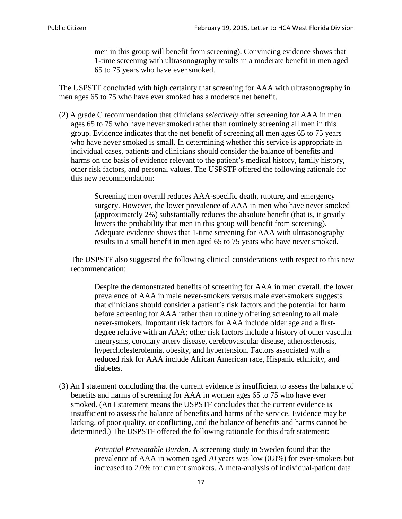men in this group will benefit from screening). Convincing evidence shows that 1-time screening with ultrasonography results in a moderate benefit in men aged 65 to 75 years who have ever smoked.

The USPSTF concluded with high certainty that screening for AAA with ultrasonography in men ages 65 to 75 who have ever smoked has a moderate net benefit.

(2) A grade C recommendation that clinicians *selectively* offer screening for AAA in men ages 65 to 75 who have never smoked rather than routinely screening all men in this group. Evidence indicates that the net benefit of screening all men ages 65 to 75 years who have never smoked is small. In determining whether this service is appropriate in individual cases, patients and clinicians should consider the balance of benefits and harms on the basis of evidence relevant to the patient's medical history, family history, other risk factors, and personal values. The USPSTF offered the following rationale for this new recommendation:

> Screening men overall reduces AAA-specific death, rupture, and emergency surgery. However, the lower prevalence of AAA in men who have never smoked (approximately 2%) substantially reduces the absolute benefit (that is, it greatly lowers the probability that men in this group will benefit from screening). Adequate evidence shows that 1-time screening for AAA with ultrasonography results in a small benefit in men aged 65 to 75 years who have never smoked.

The USPSTF also suggested the following clinical considerations with respect to this new recommendation:

Despite the demonstrated benefits of screening for AAA in men overall, the lower prevalence of AAA in male never-smokers versus male ever-smokers suggests that clinicians should consider a patient's risk factors and the potential for harm before screening for AAA rather than routinely offering screening to all male never-smokers. Important risk factors for AAA include older age and a firstdegree relative with an AAA; other risk factors include a history of other vascular aneurysms, coronary artery disease, cerebrovascular disease, atherosclerosis, hypercholesterolemia, obesity, and hypertension. Factors associated with a reduced risk for AAA include African American race, Hispanic ethnicity, and diabetes.

(3) An I statement concluding that the current evidence is insufficient to assess the balance of benefits and harms of screening for AAA in women ages 65 to 75 who have ever smoked. (An I statement means the USPSTF concludes that the current evidence is insufficient to assess the balance of benefits and harms of the service. Evidence may be lacking, of poor quality, or conflicting, and the balance of benefits and harms cannot be determined.) The USPSTF offered the following rationale for this draft statement:

> *Potential Preventable Burden.* A screening study in Sweden found that the prevalence of AAA in women aged 70 years was low (0.8%) for ever-smokers but increased to 2.0% for current smokers. A meta-analysis of individual-patient data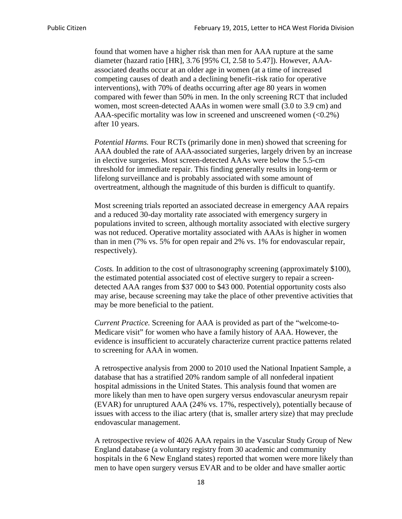found that women have a higher risk than men for AAA rupture at the same diameter (hazard ratio [HR], 3.76 [95% CI, 2.58 to 5.47]). However, AAAassociated deaths occur at an older age in women (at a time of increased competing causes of death and a declining benefit–risk ratio for operative interventions), with 70% of deaths occurring after age 80 years in women compared with fewer than 50% in men. In the only screening RCT that included women, most screen-detected AAAs in women were small (3.0 to 3.9 cm) and AAA-specific mortality was low in screened and unscreened women  $(<0.2\%)$ after 10 years.

*Potential Harms.* Four RCTs (primarily done in men) showed that screening for AAA doubled the rate of AAA-associated surgeries, largely driven by an increase in elective surgeries. Most screen-detected AAAs were below the 5.5-cm threshold for immediate repair. This finding generally results in long-term or lifelong surveillance and is probably associated with some amount of overtreatment, although the magnitude of this burden is difficult to quantify.

Most screening trials reported an associated decrease in emergency AAA repairs and a reduced 30-day mortality rate associated with emergency surgery in populations invited to screen, although mortality associated with elective surgery was not reduced. Operative mortality associated with AAAs is higher in women than in men (7% vs. 5% for open repair and 2% vs. 1% for endovascular repair, respectively).

*Costs.* In addition to the cost of ultrasonography screening (approximately \$100), the estimated potential associated cost of elective surgery to repair a screendetected AAA ranges from \$37 000 to \$43 000. Potential opportunity costs also may arise, because screening may take the place of other preventive activities that may be more beneficial to the patient.

*Current Practice.* Screening for AAA is provided as part of the "welcome-to-Medicare visit" for women who have a family history of AAA. However, the evidence is insufficient to accurately characterize current practice patterns related to screening for AAA in women.

A retrospective analysis from 2000 to 2010 used the National Inpatient Sample, a database that has a stratified 20% random sample of all nonfederal inpatient hospital admissions in the United States. This analysis found that women are more likely than men to have open surgery versus endovascular aneurysm repair (EVAR) for unruptured AAA (24% vs. 17%, respectively), potentially because of issues with access to the iliac artery (that is, smaller artery size) that may preclude endovascular management.

A retrospective review of 4026 AAA repairs in the Vascular Study Group of New England database (a voluntary registry from 30 academic and community hospitals in the 6 New England states) reported that women were more likely than men to have open surgery versus EVAR and to be older and have smaller aortic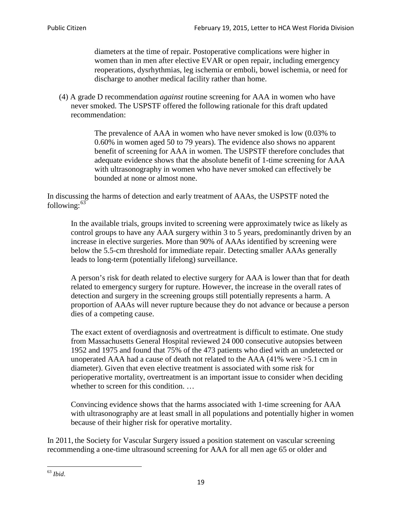diameters at the time of repair. Postoperative complications were higher in women than in men after elective EVAR or open repair, including emergency reoperations, dysrhythmias, leg ischemia or emboli, bowel ischemia, or need for discharge to another medical facility rather than home.

(4) A grade D recommendation *against* routine screening for AAA in women who have never smoked. The USPSTF offered the following rationale for this draft updated recommendation:

> The prevalence of AAA in women who have never smoked is low (0.03% to 0.60% in women aged 50 to 79 years). The evidence also shows no apparent benefit of screening for AAA in women. The USPSTF therefore concludes that adequate evidence shows that the absolute benefit of 1-time screening for AAA with ultrasonography in women who have never smoked can effectively be bounded at none or almost none.

In discussing the harms of detection and early treatment of AAAs, the USPSTF noted the following: $63$ 

In the available trials, groups invited to screening were approximately twice as likely as control groups to have any AAA surgery within 3 to 5 years, predominantly driven by an increase in elective surgeries. More than 90% of AAAs identified by screening were below the 5.5-cm threshold for immediate repair. Detecting smaller AAAs generally leads to long-term (potentially lifelong) surveillance.

A person's risk for death related to elective surgery for AAA is lower than that for death related to emergency surgery for rupture. However, the increase in the overall rates of detection and surgery in the screening groups still potentially represents a harm. A proportion of AAAs will never rupture because they do not advance or because a person dies of a competing cause.

The exact extent of overdiagnosis and overtreatment is difficult to estimate. One study from Massachusetts General Hospital reviewed 24 000 consecutive autopsies between 1952 and 1975 and found that 75% of the 473 patients who died with an undetected or unoperated AAA had a cause of death not related to the AAA (41% were >5.1 cm in diameter). Given that even elective treatment is associated with some risk for perioperative mortality, overtreatment is an important issue to consider when deciding whether to screen for this condition....

Convincing evidence shows that the harms associated with 1-time screening for AAA with ultrasonography are at least small in all populations and potentially higher in women because of their higher risk for operative mortality.

In 2011, the Society for Vascular Surgery issued a position statement on vascular screening recommending a one-time ultrasound screening for AAA for all men age 65 or older and

<span id="page-18-0"></span><sup>63</sup> *Ibid*.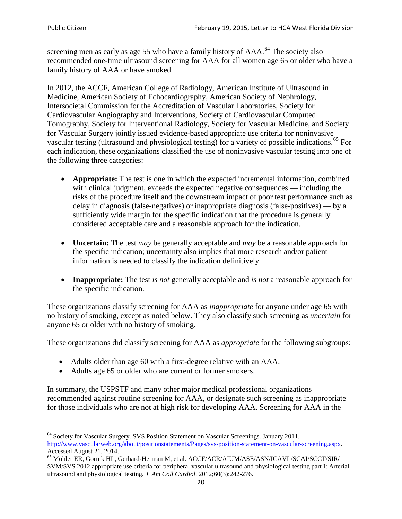screening men as early as age 55 who have a family history of AAA.<sup>[64](#page-19-0)</sup> The society also recommended one-time ultrasound screening for AAA for all women age 65 or older who have a family history of AAA or have smoked.

In 2012, the ACCF, American College of Radiology, American Institute of Ultrasound in Medicine, American Society of Echocardiography, American Society of Nephrology, Intersocietal Commission for the Accreditation of Vascular Laboratories, Society for Cardiovascular Angiography and Interventions, Society of Cardiovascular Computed Tomography, Society for Interventional Radiology, Society for Vascular Medicine, and Society for Vascular Surgery jointly issued evidence-based appropriate use criteria for noninvasive vascular testing (ultrasound and physiological testing) for a variety of possible indications.<sup>[65](#page-19-1)</sup> For each indication, these organizations classified the use of noninvasive vascular testing into one of the following three categories:

- **Appropriate:** The test is one in which the expected incremental information, combined with clinical judgment, exceeds the expected negative consequences — including the risks of the procedure itself and the downstream impact of poor test performance such as delay in diagnosis (false-negatives) or inappropriate diagnosis (false-positives) — by a sufficiently wide margin for the specific indication that the procedure is generally considered acceptable care and a reasonable approach for the indication.
- **Uncertain:** The test *may* be generally acceptable and *may* be a reasonable approach for the specific indication; uncertainty also implies that more research and/or patient information is needed to classify the indication definitively.
- **Inappropriate:** The test *is not* generally acceptable and *is not* a reasonable approach for the specific indication.

These organizations classify screening for AAA as *inappropriate* for anyone under age 65 with no history of smoking, except as noted below. They also classify such screening as *uncertain* for anyone 65 or older with no history of smoking.

These organizations did classify screening for AAA as *appropriate* for the following subgroups:

- Adults older than age 60 with a first-degree relative with an AAA.
- Adults age 65 or older who are current or former smokers.

In summary, the USPSTF and many other major medical professional organizations recommended against routine screening for AAA, or designate such screening as inappropriate for those individuals who are not at high risk for developing AAA. Screening for AAA in the

<span id="page-19-0"></span><sup>64</sup> Society for Vascular Surgery. SVS Position Statement on Vascular Screenings. January 2011. [http://www.vascularweb.org/about/positionstatements/Pages/svs-position-statement-on-vascular-screening.aspx.](http://www.vascularweb.org/about/positionstatements/Pages/svs-position-statement-on-vascular-screening.aspx) 

<span id="page-19-1"></span>Accessed August 21, 2014.<br><sup>65</sup> Mohler ER, Gornik HL, Gerhard-Herman M, et al. ACCF/ACR/AIUM/ASE/ASN/ICAVL/SCAI/SCCT/SIR/ SVM/SVS 2012 appropriate use criteria for peripheral vascular ultrasound and physiological testing part I: Arterial ultrasound and physiological testing*. J Am Coll Cardiol*. 2012;60(3):242-276.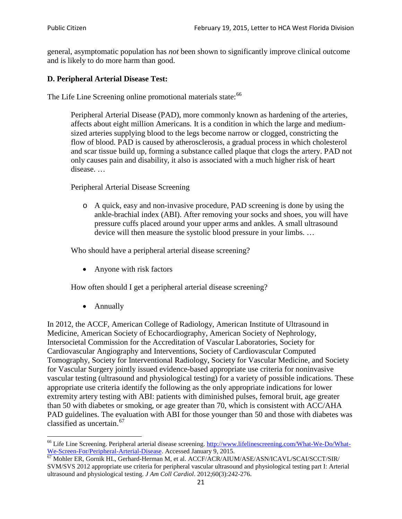general, asymptomatic population has *not* been shown to significantly improve clinical outcome and is likely to do more harm than good.

# **D. Peripheral Arterial Disease Test:**

The Life Line Screening online promotional materials state:<sup>[66](#page-20-0)</sup>

Peripheral Arterial Disease (PAD), more commonly known as hardening of the arteries, affects about eight million Americans. It is a condition in which the large and mediumsized arteries supplying blood to the legs become narrow or clogged, constricting the flow of blood. PAD is caused by atherosclerosis, a gradual process in which cholesterol and scar tissue build up, forming a substance called plaque that clogs the artery. PAD not only causes pain and disability, it also is associated with a much higher risk of heart disease. …

Peripheral Arterial Disease Screening

o A quick, easy and non-invasive procedure, PAD screening is done by using the ankle-brachial index (ABI). After removing your socks and shoes, you will have pressure cuffs placed around your upper arms and ankles. A small ultrasound device will then measure the systolic blood pressure in your limbs. …

Who should have a peripheral arterial disease screening?

• Anyone with risk factors

How often should I get a peripheral arterial disease screening?

• Annually

In 2012, the ACCF, American College of Radiology, American Institute of Ultrasound in Medicine, American Society of Echocardiography, American Society of Nephrology, Intersocietal Commission for the Accreditation of Vascular Laboratories, Society for Cardiovascular Angiography and Interventions, Society of Cardiovascular Computed Tomography, Society for Interventional Radiology, Society for Vascular Medicine, and Society for Vascular Surgery jointly issued evidence-based appropriate use criteria for noninvasive vascular testing (ultrasound and physiological testing) for a variety of possible indications. These appropriate use criteria identify the following as the only appropriate indications for lower extremity artery testing with ABI: patients with diminished pulses, femoral bruit, age greater than 50 with diabetes or smoking, or age greater than 70, which is consistent with ACC/AHA PAD guidelines. The evaluation with ABI for those younger than 50 and those with diabetes was classified as uncertain.<sup>[67](#page-20-1)</sup>

<span id="page-20-0"></span><sup>&</sup>lt;sup>66</sup> Life Line Screening. Peripheral arterial disease screening. [http://www.lifelinescreening.com/What-We-Do/What-](http://www.lifelinescreening.com/What-We-Do/What-We-Screen-For/Peripheral-Arterial-Disease)[We-Screen-For/Peripheral-Arterial-Disease.](http://www.lifelinescreening.com/What-We-Do/What-We-Screen-For/Peripheral-Arterial-Disease) Accessed January 9, 2015.<br><sup>67</sup> Mohler ER, Gornik HL, Gerhard-Herman M, et al. ACCF/ACR/AIUM/ASE/ASN/ICAVL/SCAI/SCCT/SIR/

<span id="page-20-1"></span>SVM/SVS 2012 appropriate use criteria for peripheral vascular ultrasound and physiological testing part I: Arterial ultrasound and physiological testing. *J Am Coll Cardiol*. 2012;60(3):242-276.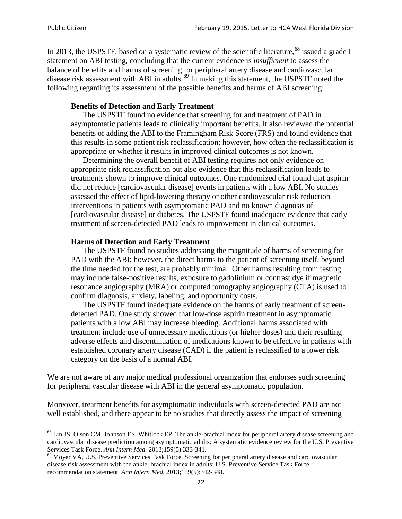In 2013, the USPSTF, based on a systematic review of the scientific literature,<sup>[68](#page-21-0)</sup> issued a grade I statement on ABI testing, concluding that the current evidence is *insufficient* to assess the balance of benefits and harms of screening for peripheral artery disease and cardiovascular disease risk assessment with ABI in adults.<sup>[69](#page-21-1)</sup> In making this statement, the USPSTF noted the following regarding its assessment of the possible benefits and harms of ABI screening:

### **Benefits of Detection and Early Treatment**

The USPSTF found no evidence that screening for and treatment of PAD in asymptomatic patients leads to clinically important benefits. It also reviewed the potential benefits of adding the ABI to the Framingham Risk Score (FRS) and found evidence that this results in some patient risk reclassification; however, how often the reclassification is appropriate or whether it results in improved clinical outcomes is not known.

Determining the overall benefit of ABI testing requires not only evidence on appropriate risk reclassification but also evidence that this reclassification leads to treatments shown to improve clinical outcomes. One randomized trial found that aspirin did not reduce [cardiovascular disease] events in patients with a low ABI. No studies assessed the effect of lipid-lowering therapy or other cardiovascular risk reduction interventions in patients with asymptomatic PAD and no known diagnosis of [cardiovascular disease] or diabetes. The USPSTF found inadequate evidence that early treatment of screen-detected PAD leads to improvement in clinical outcomes.

### **Harms of Detection and Early Treatment**

The USPSTF found no studies addressing the magnitude of harms of screening for PAD with the ABI; however, the direct harms to the patient of screening itself, beyond the time needed for the test, are probably minimal. Other harms resulting from testing may include false-positive results, exposure to gadolinium or contrast dye if magnetic resonance angiography (MRA) or computed tomography angiography (CTA) is used to confirm diagnosis, anxiety, labeling, and opportunity costs.

The USPSTF found inadequate evidence on the harms of early treatment of screendetected PAD. One study showed that low-dose aspirin treatment in asymptomatic patients with a low ABI may increase bleeding. Additional harms associated with treatment include use of unnecessary medications (or higher doses) and their resulting adverse effects and discontinuation of medications known to be effective in patients with established coronary artery disease (CAD) if the patient is reclassified to a lower risk category on the basis of a normal ABI.

We are not aware of any major medical professional organization that endorses such screening for peripheral vascular disease with ABI in the general asymptomatic population.

Moreover, treatment benefits for asymptomatic individuals with screen-detected PAD are not well established, and there appear to be no studies that directly assess the impact of screening

<span id="page-21-0"></span><sup>&</sup>lt;sup>68</sup> Lin JS, Olson CM, Johnson ES, Whitlock EP. The ankle-brachial index for peripheral artery disease screening and cardiovascular disease prediction among asymptomatic adults: A systematic evidence review for the U.S. Preventive Services Task Force. *Ann Intern Med.* 2013;159(5):333-341.<br><sup>69</sup> Moyer VA, U.S. Preventive Services Task Force. Screening for peripheral artery disease and cardiovascular

<span id="page-21-1"></span>disease risk assessment with the ankle–brachial index in adults: U.S. Preventive Service Task Force recommendation statement. *Ann Intern Med.* 2013;159(5):342-348.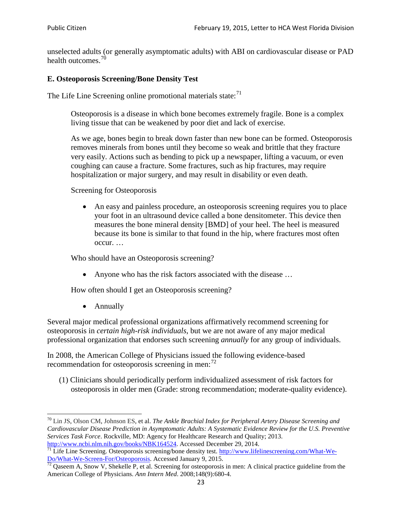unselected adults (or generally asymptomatic adults) with ABI on cardiovascular disease or PAD health outcomes.<sup>[70](#page-22-0)</sup>

# **E. Osteoporosis Screening/Bone Density Test**

The Life Line Screening online promotional materials state: $71$ 

Osteoporosis is a disease in which bone becomes extremely fragile. Bone is a complex living tissue that can be weakened by poor diet and lack of exercise.

As we age, bones begin to break down faster than new bone can be formed. Osteoporosis removes minerals from bones until they become so weak and brittle that they fracture very easily. Actions such as bending to pick up a newspaper, lifting a vacuum, or even coughing can cause a fracture. Some fractures, such as hip fractures, may require hospitalization or major surgery, and may result in disability or even death.

Screening for Osteoporosis

• An easy and painless procedure, an osteoporosis screening requires you to place your foot in an ultrasound device called a bone densitometer. This device then measures the bone mineral density [BMD] of your heel. The heel is measured because its bone is similar to that found in the hip, where fractures most often occur. …

Who should have an Osteoporosis screening?

• Anyone who has the risk factors associated with the disease ...

How often should I get an Osteoporosis screening?

• Annually

Several major medical professional organizations affirmatively recommend screening for osteoporosis in *certain high-risk individuals*, but we are not aware of any major medical professional organization that endorses such screening *annually* for any group of individuals.

In 2008, the American College of Physicians issued the following evidence-based recommendation for osteoporosis screening in men: $^{72}$  $^{72}$  $^{72}$ 

(1) Clinicians should periodically perform individualized assessment of risk factors for osteoporosis in older men (Grade: strong recommendation; moderate-quality evidence).

<span id="page-22-0"></span><sup>70</sup> [Lin JS,](http://www.ncbi.nlm.nih.gov/pubmed?term=Lin%20JS%5BAuthor%5D&cauthor=true&cauthor_uid=24156115) [Olson CM,](http://www.ncbi.nlm.nih.gov/pubmed?term=Olson%20CM%5BAuthor%5D&cauthor=true&cauthor_uid=24156115) [Johnson ES,](http://www.ncbi.nlm.nih.gov/pubmed?term=Johnson%20ES%5BAuthor%5D&cauthor=true&cauthor_uid=24156115) et al. *The Ankle Brachial Index for Peripheral Artery Disease Screening and Cardiovascular Disease Prediction in Asymptomatic Adults: A Systematic Evidence Review for the U.S. Preventive Services Task Force*. Rockville, MD: Agency for Healthcare Research and Quality; 2013.<br>http://www.ncbi.nlm.nih.gov/books/NBK164524. Accessed December 29, 2014.

<span id="page-22-1"></span> $\frac{1}{71}$  Life Line Screening. Osteoporosis screening/bone density test. [http://www.lifelinescreening.com/What-We-](http://www.lifelinescreening.com/What-We-Do/What-We-Screen-For/Osteoporosis)[Do/What-We-Screen-For/Osteoporosis.](http://www.lifelinescreening.com/What-We-Do/What-We-Screen-For/Osteoporosis) Accessed January 9, 2015. <sup>72</sup> Qaseem A, Snow V, Shekelle P, et al. Screening for osteoporosis in men: A clinical practice guideline from the

<span id="page-22-2"></span>American College of Physicians. *Ann Intern Med*. 2008;148(9):680-4.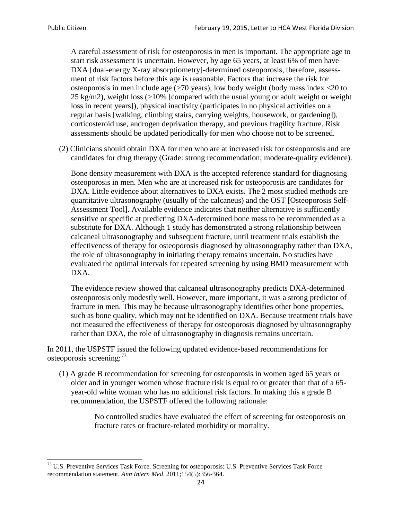A careful assessment of risk for osteoporosis in men is important. The appropriate age to start risk assessment is uncertain. However, by age 65 years, at least 6% of men have DXA [dual-energy X-ray absorptiometry]-determined osteoporosis, therefore, assessment of risk factors before this age is reasonable. Factors that increase the risk for osteoporosis in men include age (>70 years), low body weight (body mass index <20 to 25 kg/m2), weight loss  $\langle$  >10% [compared with the usual young or adult weight or weight loss in recent years]), physical inactivity (participates in no physical activities on a regular basis [walking, climbing stairs, carrying weights, housework, or gardening]), corticosteroid use, androgen deprivation therapy, and previous fragility fracture. Risk assessments should be updated periodically for men who choose not to be screened.

(2) Clinicians should obtain DXA for men who are at increased risk for osteoporosis and are candidates for drug therapy (Grade: strong recommendation; moderate-quality evidence).

Bone density measurement with DXA is the accepted reference standard for diagnosing osteoporosis in men. Men who are at increased risk for osteoporosis are candidates for DXA. Little evidence about alternatives to DXA exists. The 2 most studied methods are quantitative ultrasonography (usually of the calcaneus) and the OST [Osteoporosis Self-Assessment Tool]. Available evidence indicates that neither alternative is sufficiently sensitive or specific at predicting DXA-determined bone mass to be recommended as a substitute for DXA. Although 1 study has demonstrated a strong relationship between calcaneal ultrasonography and subsequent fracture, until treatment trials establish the effectiveness of therapy for osteoporosis diagnosed by ultrasonography rather than DXA, the role of ultrasonography in initiating therapy remains uncertain. No studies have evaluated the optimal intervals for repeated screening by using BMD measurement with DXA.

The evidence review showed that calcaneal ultrasonography predicts DXA-determined osteoporosis only modestly well. However, more important, it was a strong predictor of fracture in men. This may be because ultrasonography identifies other bone properties, such as bone quality, which may not be identified on DXA. Because treatment trials have not measured the effectiveness of therapy for osteoporosis diagnosed by ultrasonography rather than DXA, the role of ultrasonography in diagnosis remains uncertain.

In 2011, the USPSTF issued the following updated evidence-based recommendations for osteoporosis screening:<sup>[73](#page-23-0)</sup>

(1) A grade B recommendation for screening for osteoporosis in women aged 65 years or older and in younger women whose fracture risk is equal to or greater than that of a 65 year-old white woman who has no additional risk factors. In making this a grade B recommendation, the USPSTF offered the following rationale:

> No controlled studies have evaluated the effect of screening for osteoporosis on fracture rates or fracture-related morbidity or mortality.

<span id="page-23-0"></span><sup>&</sup>lt;sup>73</sup> U.S. Preventive Services Task Force. Screening for osteoporosis: U.S. Preventive Services Task Force recommendation statement. *Ann Intern Med*. 2011;154(5):356-364.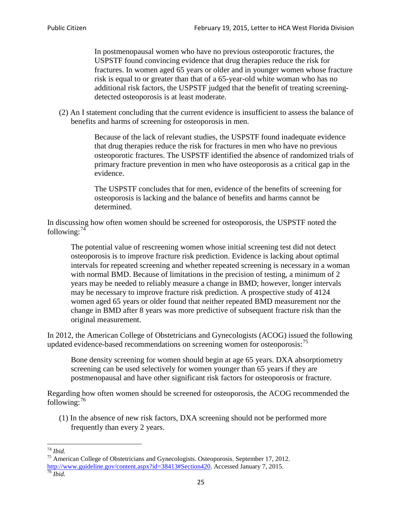In postmenopausal women who have no previous osteoporotic fractures, the USPSTF found convincing evidence that drug therapies reduce the risk for fractures. In women aged 65 years or older and in younger women whose fracture risk is equal to or greater than that of a 65-year-old white woman who has no additional risk factors, the USPSTF judged that the benefit of treating screeningdetected osteoporosis is at least moderate.

(2) An I statement concluding that the current evidence is insufficient to assess the balance of benefits and harms of screening for osteoporosis in men.

> Because of the lack of relevant studies, the USPSTF found inadequate evidence that drug therapies reduce the risk for fractures in men who have no previous osteoporotic fractures. The USPSTF identified the absence of randomized trials of primary fracture prevention in men who have osteoporosis as a critical gap in the evidence.

The USPSTF concludes that for men, evidence of the benefits of screening for osteoporosis is lacking and the balance of benefits and harms cannot be determined.

In discussing how often women should be screened for osteoporosis, the USPSTF noted the following: $74$ 

The potential value of rescreening women whose initial screening test did not detect osteoporosis is to improve fracture risk prediction. Evidence is lacking about optimal intervals for repeated screening and whether repeated screening is necessary in a woman with normal BMD. Because of limitations in the precision of testing, a minimum of 2 years may be needed to reliably measure a change in BMD; however, longer intervals may be necessary to improve fracture risk prediction. A prospective study of 4124 women aged 65 years or older found that neither repeated BMD measurement nor the change in BMD after 8 years was more predictive of subsequent fracture risk than the original measurement.

In 2012, the American College of Obstetricians and Gynecologists (ACOG) issued the following updated evidence-based recommendations on screening women for osteoporosis:<sup>[75](#page-24-1)</sup>

Bone density screening for women should begin at age 65 years. DXA absorptiometry screening can be used selectively for women younger than 65 years if they are postmenopausal and have other significant risk factors for osteoporosis or fracture.

Regarding how often women should be screened for osteoporosis, the ACOG recommended the following: $^{76}$  $^{76}$  $^{76}$ 

(1) In the absence of new risk factors, DXA screening should not be performed more frequently than every 2 years.

<span id="page-24-2"></span><span id="page-24-1"></span><span id="page-24-0"></span><sup>74</sup> *Ibid.* <sup>75</sup> American College of Obstetricians and Gynecologists. Osteoporosis. September 17, 2012. [http://www.guideline.gov/content.aspx?id=38413#Section420.](http://www.guideline.gov/content.aspx?id=38413#Section420) Accessed January 7, 2015.<br><sup>76</sup> *Ibid.*